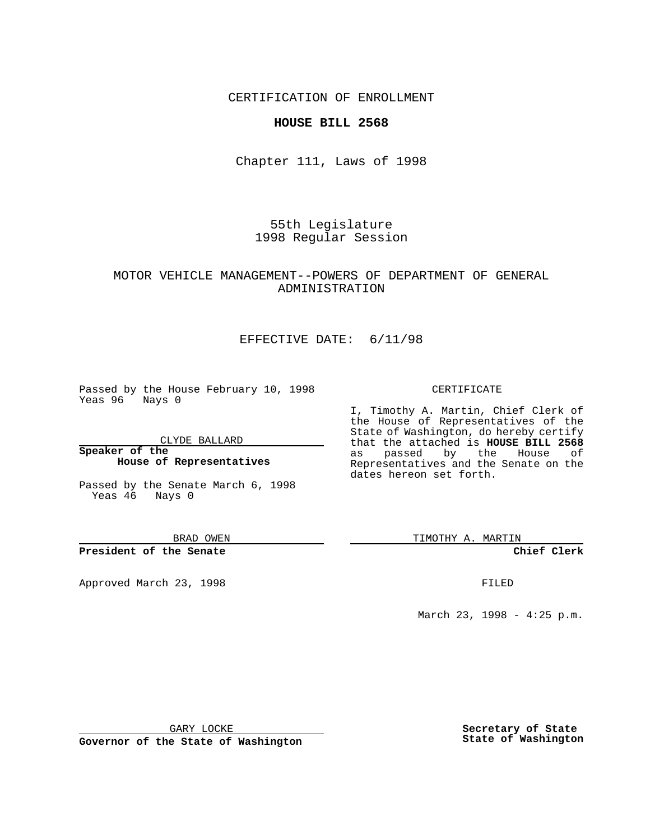## CERTIFICATION OF ENROLLMENT

## **HOUSE BILL 2568**

Chapter 111, Laws of 1998

55th Legislature 1998 Regular Session

# MOTOR VEHICLE MANAGEMENT--POWERS OF DEPARTMENT OF GENERAL ADMINISTRATION

# EFFECTIVE DATE: 6/11/98

Passed by the House February 10, 1998 Yeas 96 Nays 0

CLYDE BALLARD

**Speaker of the House of Representatives**

Passed by the Senate March 6, 1998 Yeas 46 Nays 0

BRAD OWEN

**President of the Senate**

Approved March 23, 1998 **FILED** 

### CERTIFICATE

I, Timothy A. Martin, Chief Clerk of the House of Representatives of the State of Washington, do hereby certify that the attached is **HOUSE BILL 2568** as passed by the House of Representatives and the Senate on the dates hereon set forth.

TIMOTHY A. MARTIN

**Chief Clerk**

March 23, 1998 - 4:25 p.m.

GARY LOCKE

**Governor of the State of Washington**

**Secretary of State State of Washington**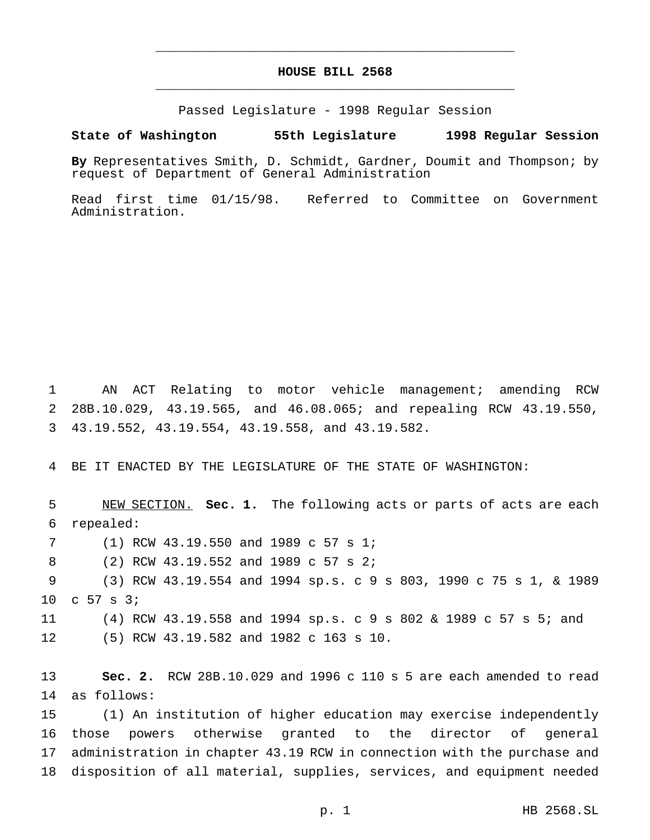# **HOUSE BILL 2568** \_\_\_\_\_\_\_\_\_\_\_\_\_\_\_\_\_\_\_\_\_\_\_\_\_\_\_\_\_\_\_\_\_\_\_\_\_\_\_\_\_\_\_\_\_\_\_

\_\_\_\_\_\_\_\_\_\_\_\_\_\_\_\_\_\_\_\_\_\_\_\_\_\_\_\_\_\_\_\_\_\_\_\_\_\_\_\_\_\_\_\_\_\_\_

Passed Legislature - 1998 Regular Session

#### **State of Washington 55th Legislature 1998 Regular Session**

**By** Representatives Smith, D. Schmidt, Gardner, Doumit and Thompson; by request of Department of General Administration

Read first time 01/15/98. Referred to Committee on Government Administration.

 AN ACT Relating to motor vehicle management; amending RCW 28B.10.029, 43.19.565, and 46.08.065; and repealing RCW 43.19.550, 43.19.552, 43.19.554, 43.19.558, and 43.19.582.

BE IT ENACTED BY THE LEGISLATURE OF THE STATE OF WASHINGTON:

 NEW SECTION. **Sec. 1.** The following acts or parts of acts are each repealed: (1) RCW 43.19.550 and 1989 c 57 s 1; (2) RCW 43.19.552 and 1989 c 57 s 2; (3) RCW 43.19.554 and 1994 sp.s.c9s 803, 1990 c 75 s 1, & 1989 c 57 s 3; (4) RCW 43.19.558 and 1994 sp.s. c 9 s 802 & 1989 c 57 s 5; and (5) RCW 43.19.582 and 1982 c 163 s 10.

 **Sec. 2.** RCW 28B.10.029 and 1996 c 110 s 5 are each amended to read as follows:

 (1) An institution of higher education may exercise independently those powers otherwise granted to the director of general administration in chapter 43.19 RCW in connection with the purchase and disposition of all material, supplies, services, and equipment needed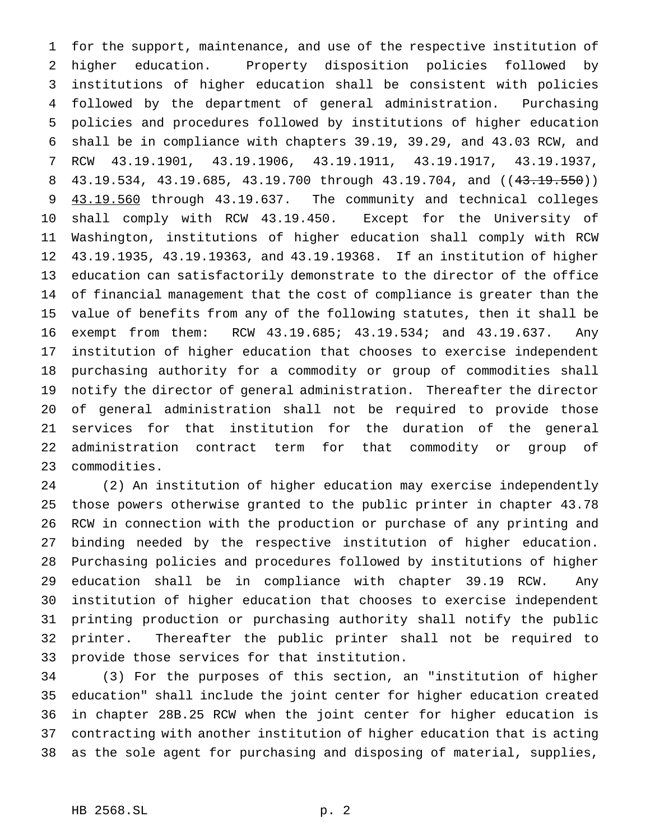for the support, maintenance, and use of the respective institution of higher education. Property disposition policies followed by institutions of higher education shall be consistent with policies followed by the department of general administration. Purchasing policies and procedures followed by institutions of higher education shall be in compliance with chapters 39.19, 39.29, and 43.03 RCW, and RCW 43.19.1901, 43.19.1906, 43.19.1911, 43.19.1917, 43.19.1937, 8 43.19.534, 43.19.685, 43.19.700 through 43.19.704, and ((43.19.550)) 43.19.560 through 43.19.637. The community and technical colleges shall comply with RCW 43.19.450. Except for the University of Washington, institutions of higher education shall comply with RCW 43.19.1935, 43.19.19363, and 43.19.19368. If an institution of higher education can satisfactorily demonstrate to the director of the office of financial management that the cost of compliance is greater than the value of benefits from any of the following statutes, then it shall be exempt from them: RCW 43.19.685; 43.19.534; and 43.19.637. Any institution of higher education that chooses to exercise independent purchasing authority for a commodity or group of commodities shall notify the director of general administration. Thereafter the director of general administration shall not be required to provide those services for that institution for the duration of the general administration contract term for that commodity or group of commodities.

 (2) An institution of higher education may exercise independently those powers otherwise granted to the public printer in chapter 43.78 RCW in connection with the production or purchase of any printing and binding needed by the respective institution of higher education. Purchasing policies and procedures followed by institutions of higher education shall be in compliance with chapter 39.19 RCW. Any institution of higher education that chooses to exercise independent printing production or purchasing authority shall notify the public printer. Thereafter the public printer shall not be required to provide those services for that institution.

 (3) For the purposes of this section, an "institution of higher education" shall include the joint center for higher education created in chapter 28B.25 RCW when the joint center for higher education is contracting with another institution of higher education that is acting as the sole agent for purchasing and disposing of material, supplies,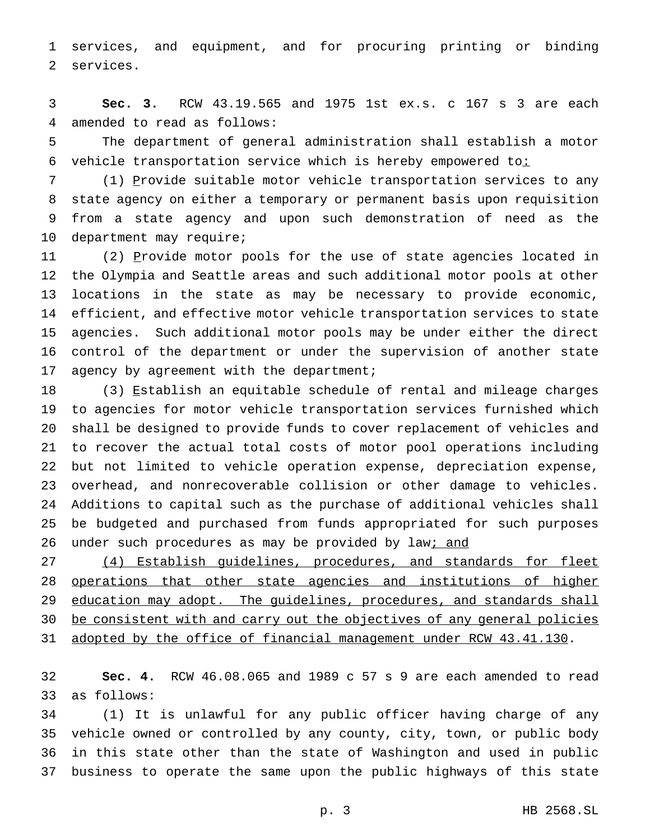services, and equipment, and for procuring printing or binding services.

 **Sec. 3.** RCW 43.19.565 and 1975 1st ex.s. c 167 s 3 are each amended to read as follows:

 The department of general administration shall establish a motor 6 vehicle transportation service which is hereby empowered to:

7 (1) Provide suitable motor vehicle transportation services to any state agency on either a temporary or permanent basis upon requisition from a state agency and upon such demonstration of need as the department may require;

11 (2) Provide motor pools for the use of state agencies located in the Olympia and Seattle areas and such additional motor pools at other locations in the state as may be necessary to provide economic, efficient, and effective motor vehicle transportation services to state agencies. Such additional motor pools may be under either the direct control of the department or under the supervision of another state 17 agency by agreement with the department;

18 (3) Establish an equitable schedule of rental and mileage charges to agencies for motor vehicle transportation services furnished which shall be designed to provide funds to cover replacement of vehicles and to recover the actual total costs of motor pool operations including but not limited to vehicle operation expense, depreciation expense, overhead, and nonrecoverable collision or other damage to vehicles. Additions to capital such as the purchase of additional vehicles shall be budgeted and purchased from funds appropriated for such purposes 26 under such procedures as may be provided by law<sub>i</sub> and

 (4) Establish guidelines, procedures, and standards for fleet operations that other state agencies and institutions of higher 29 education may adopt. The guidelines, procedures, and standards shall 30 be consistent with and carry out the objectives of any general policies adopted by the office of financial management under RCW 43.41.130.

 **Sec. 4.** RCW 46.08.065 and 1989 c 57 s 9 are each amended to read as follows:

 (1) It is unlawful for any public officer having charge of any vehicle owned or controlled by any county, city, town, or public body in this state other than the state of Washington and used in public business to operate the same upon the public highways of this state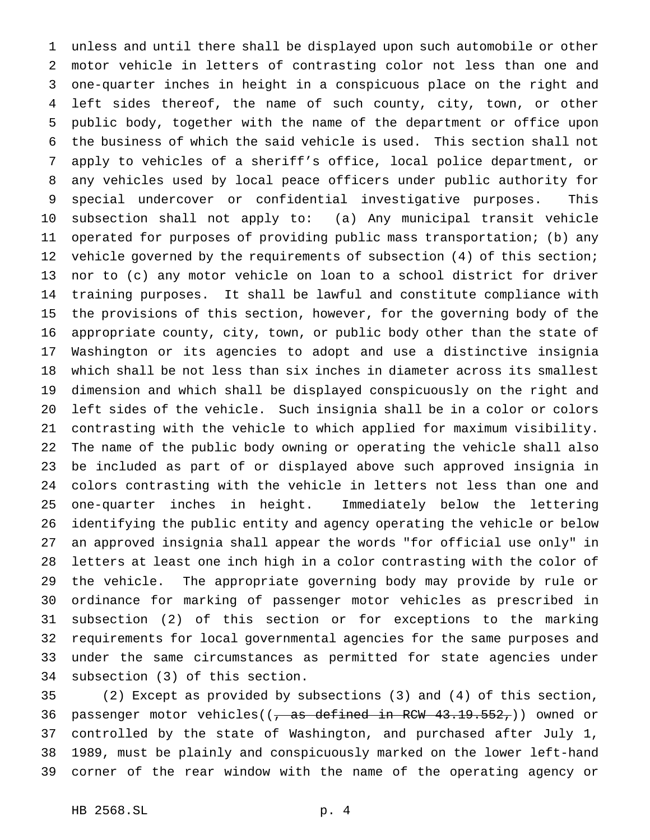unless and until there shall be displayed upon such automobile or other motor vehicle in letters of contrasting color not less than one and one-quarter inches in height in a conspicuous place on the right and left sides thereof, the name of such county, city, town, or other public body, together with the name of the department or office upon the business of which the said vehicle is used. This section shall not apply to vehicles of a sheriff's office, local police department, or any vehicles used by local peace officers under public authority for special undercover or confidential investigative purposes. This subsection shall not apply to: (a) Any municipal transit vehicle operated for purposes of providing public mass transportation; (b) any vehicle governed by the requirements of subsection (4) of this section; nor to (c) any motor vehicle on loan to a school district for driver training purposes. It shall be lawful and constitute compliance with the provisions of this section, however, for the governing body of the appropriate county, city, town, or public body other than the state of Washington or its agencies to adopt and use a distinctive insignia which shall be not less than six inches in diameter across its smallest dimension and which shall be displayed conspicuously on the right and left sides of the vehicle. Such insignia shall be in a color or colors contrasting with the vehicle to which applied for maximum visibility. The name of the public body owning or operating the vehicle shall also be included as part of or displayed above such approved insignia in colors contrasting with the vehicle in letters not less than one and one-quarter inches in height. Immediately below the lettering identifying the public entity and agency operating the vehicle or below an approved insignia shall appear the words "for official use only" in letters at least one inch high in a color contrasting with the color of the vehicle. The appropriate governing body may provide by rule or ordinance for marking of passenger motor vehicles as prescribed in subsection (2) of this section or for exceptions to the marking requirements for local governmental agencies for the same purposes and under the same circumstances as permitted for state agencies under subsection (3) of this section.

 (2) Except as provided by subsections (3) and (4) of this section, 36 passenger motor vehicles((, as defined in RCW 43.19.552,)) owned or controlled by the state of Washington, and purchased after July 1, 1989, must be plainly and conspicuously marked on the lower left-hand corner of the rear window with the name of the operating agency or